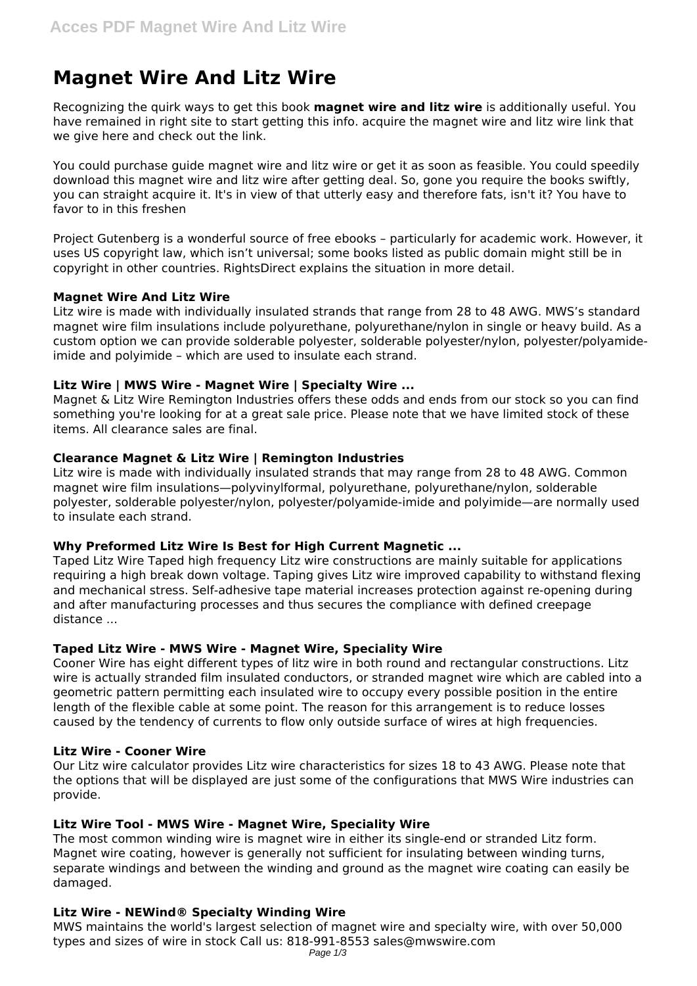# **Magnet Wire And Litz Wire**

Recognizing the quirk ways to get this book **magnet wire and litz wire** is additionally useful. You have remained in right site to start getting this info. acquire the magnet wire and litz wire link that we give here and check out the link.

You could purchase guide magnet wire and litz wire or get it as soon as feasible. You could speedily download this magnet wire and litz wire after getting deal. So, gone you require the books swiftly, you can straight acquire it. It's in view of that utterly easy and therefore fats, isn't it? You have to favor to in this freshen

Project Gutenberg is a wonderful source of free ebooks – particularly for academic work. However, it uses US copyright law, which isn't universal; some books listed as public domain might still be in copyright in other countries. RightsDirect explains the situation in more detail.

## **Magnet Wire And Litz Wire**

Litz wire is made with individually insulated strands that range from 28 to 48 AWG. MWS's standard magnet wire film insulations include polyurethane, polyurethane/nylon in single or heavy build. As a custom option we can provide solderable polyester, solderable polyester/nylon, polyester/polyamideimide and polyimide – which are used to insulate each strand.

#### **Litz Wire | MWS Wire - Magnet Wire | Specialty Wire ...**

Magnet & Litz Wire Remington Industries offers these odds and ends from our stock so you can find something you're looking for at a great sale price. Please note that we have limited stock of these items. All clearance sales are final.

## **Clearance Magnet & Litz Wire | Remington Industries**

Litz wire is made with individually insulated strands that may range from 28 to 48 AWG. Common magnet wire film insulations—polyvinylformal, polyurethane, polyurethane/nylon, solderable polyester, solderable polyester/nylon, polyester/polyamide-imide and polyimide—are normally used to insulate each strand.

## **Why Preformed Litz Wire Is Best for High Current Magnetic ...**

Taped Litz Wire Taped high frequency Litz wire constructions are mainly suitable for applications requiring a high break down voltage. Taping gives Litz wire improved capability to withstand flexing and mechanical stress. Self-adhesive tape material increases protection against re-opening during and after manufacturing processes and thus secures the compliance with defined creepage distance ...

## **Taped Litz Wire - MWS Wire - Magnet Wire, Speciality Wire**

Cooner Wire has eight different types of litz wire in both round and rectangular constructions. Litz wire is actually stranded film insulated conductors, or stranded magnet wire which are cabled into a geometric pattern permitting each insulated wire to occupy every possible position in the entire length of the flexible cable at some point. The reason for this arrangement is to reduce losses caused by the tendency of currents to flow only outside surface of wires at high frequencies.

#### **Litz Wire - Cooner Wire**

Our Litz wire calculator provides Litz wire characteristics for sizes 18 to 43 AWG. Please note that the options that will be displayed are just some of the configurations that MWS Wire industries can provide.

## **Litz Wire Tool - MWS Wire - Magnet Wire, Speciality Wire**

The most common winding wire is magnet wire in either its single-end or stranded Litz form. Magnet wire coating, however is generally not sufficient for insulating between winding turns, separate windings and between the winding and ground as the magnet wire coating can easily be damaged.

## **Litz Wire - NEWind® Specialty Winding Wire**

MWS maintains the world's largest selection of magnet wire and specialty wire, with over 50,000 types and sizes of wire in stock Call us: 818-991-8553 sales@mwswire.com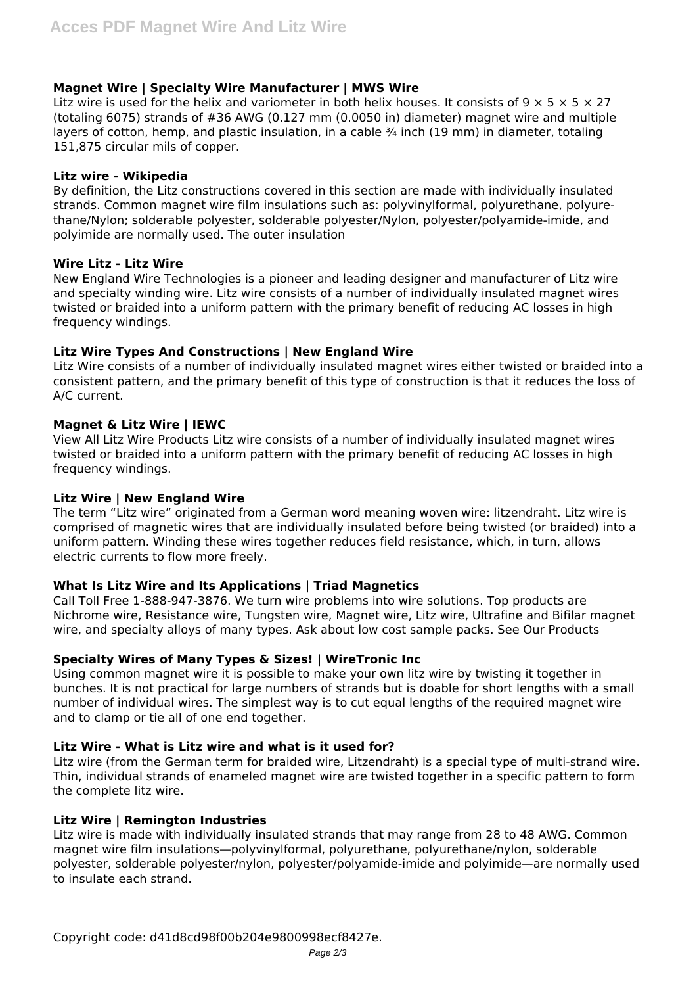## **Magnet Wire | Specialty Wire Manufacturer | MWS Wire**

Litz wire is used for the helix and variometer in both helix houses. It consists of  $9 \times 5 \times 5 \times 27$ (totaling 6075) strands of #36 AWG (0.127 mm (0.0050 in) diameter) magnet wire and multiple layers of cotton, hemp, and plastic insulation, in a cable  $\frac{3}{4}$  inch (19 mm) in diameter, totaling 151,875 circular mils of copper.

### **Litz wire - Wikipedia**

By definition, the Litz constructions covered in this section are made with individually insulated strands. Common magnet wire film insulations such as: polyvinylformal, polyurethane, polyurethane/Nylon; solderable polyester, solderable polyester/Nylon, polyester/polyamide-imide, and polyimide are normally used. The outer insulation

## **Wire Litz - Litz Wire**

New England Wire Technologies is a pioneer and leading designer and manufacturer of Litz wire and specialty winding wire. Litz wire consists of a number of individually insulated magnet wires twisted or braided into a uniform pattern with the primary benefit of reducing AC losses in high frequency windings.

## **Litz Wire Types And Constructions | New England Wire**

Litz Wire consists of a number of individually insulated magnet wires either twisted or braided into a consistent pattern, and the primary benefit of this type of construction is that it reduces the loss of A/C current.

## **Magnet & Litz Wire | IEWC**

View All Litz Wire Products Litz wire consists of a number of individually insulated magnet wires twisted or braided into a uniform pattern with the primary benefit of reducing AC losses in high frequency windings.

### **Litz Wire | New England Wire**

The term "Litz wire" originated from a German word meaning woven wire: litzendraht. Litz wire is comprised of magnetic wires that are individually insulated before being twisted (or braided) into a uniform pattern. Winding these wires together reduces field resistance, which, in turn, allows electric currents to flow more freely.

## **What Is Litz Wire and Its Applications | Triad Magnetics**

Call Toll Free 1-888-947-3876. We turn wire problems into wire solutions. Top products are Nichrome wire, Resistance wire, Tungsten wire, Magnet wire, Litz wire, Ultrafine and Bifilar magnet wire, and specialty alloys of many types. Ask about low cost sample packs. See Our Products

## **Specialty Wires of Many Types & Sizes! | WireTronic Inc**

Using common magnet wire it is possible to make your own litz wire by twisting it together in bunches. It is not practical for large numbers of strands but is doable for short lengths with a small number of individual wires. The simplest way is to cut equal lengths of the required magnet wire and to clamp or tie all of one end together.

## **Litz Wire - What is Litz wire and what is it used for?**

Litz wire (from the German term for braided wire, Litzendraht) is a special type of multi-strand wire. Thin, individual strands of enameled magnet wire are twisted together in a specific pattern to form the complete litz wire.

## **Litz Wire | Remington Industries**

Litz wire is made with individually insulated strands that may range from 28 to 48 AWG. Common magnet wire film insulations—polyvinylformal, polyurethane, polyurethane/nylon, solderable polyester, solderable polyester/nylon, polyester/polyamide-imide and polyimide—are normally used to insulate each strand.